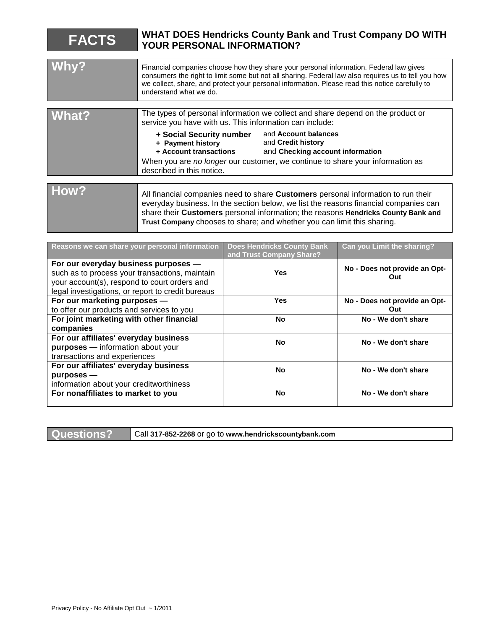| <b>FACTS</b> | <b>WHAT DOES Hendricks County Bank and Trust Company DO WITH</b><br>YOUR PERSONAL INFORMATION?                                                                                                                                                                                                                                            |                                                                                |
|--------------|-------------------------------------------------------------------------------------------------------------------------------------------------------------------------------------------------------------------------------------------------------------------------------------------------------------------------------------------|--------------------------------------------------------------------------------|
|              |                                                                                                                                                                                                                                                                                                                                           |                                                                                |
| Why?         | Financial companies choose how they share your personal information. Federal law gives<br>consumers the right to limit some but not all sharing. Federal law also requires us to tell you how<br>we collect, share, and protect your personal information. Please read this notice carefully to<br>understand what we do.                 |                                                                                |
|              |                                                                                                                                                                                                                                                                                                                                           |                                                                                |
| <b>What?</b> | The types of personal information we collect and share depend on the product or<br>service you have with us. This information can include:                                                                                                                                                                                                |                                                                                |
|              | + Social Security number<br>+ Payment history<br>+ Account transactions                                                                                                                                                                                                                                                                   | and Account balances<br>and Credit history<br>and Checking account information |
|              | When you are no longer our customer, we continue to share your information as<br>described in this notice.                                                                                                                                                                                                                                |                                                                                |
|              |                                                                                                                                                                                                                                                                                                                                           |                                                                                |
| How?         | All financial companies need to share Customers personal information to run their<br>everyday business. In the section below, we list the reasons financial companies can<br>share their Customers personal information; the reasons Hendricks County Bank and<br>Trust Company chooses to share; and whether you can limit this sharing. |                                                                                |

| Reasons we can share your personal information                                         | <b>Does Hendricks County Bank</b><br>and Trust Company Share? | Can you Limit the sharing?    |
|----------------------------------------------------------------------------------------|---------------------------------------------------------------|-------------------------------|
| For our everyday business purposes -<br>such as to process your transactions, maintain | <b>Yes</b>                                                    | No - Does not provide an Opt- |
| your account(s), respond to court orders and                                           |                                                               | Out                           |
| legal investigations, or report to credit bureaus                                      |                                                               |                               |
| For our marketing purposes -                                                           | <b>Yes</b>                                                    | No - Does not provide an Opt- |
| to offer our products and services to you                                              |                                                               | Out                           |
| For joint marketing with other financial                                               | <b>No</b>                                                     | No - We don't share           |
| companies                                                                              |                                                               |                               |
| For our affiliates' everyday business                                                  | <b>No</b>                                                     | No - We don't share           |
| purposes - information about your                                                      |                                                               |                               |
| transactions and experiences                                                           |                                                               |                               |
| For our affiliates' everyday business                                                  | <b>No</b>                                                     | No - We don't share           |
| $p$ urposes —                                                                          |                                                               |                               |
| information about your creditworthiness                                                |                                                               |                               |
| For nonaffiliates to market to you                                                     | <b>No</b>                                                     | No - We don't share           |
|                                                                                        |                                                               |                               |

**Questions?** Call **317-852-2268** or go to **www.hendrickscountybank.com**